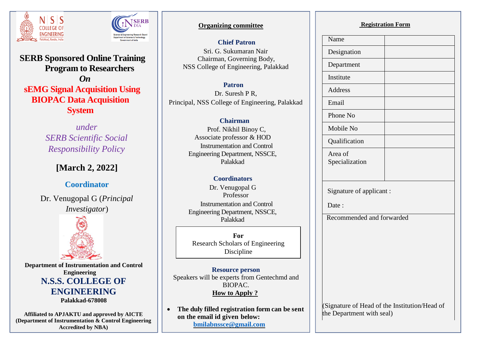



**SERB Sponsored Online Training Program to Researchers**  *On*  **sEMG Signal Acquisition Using BIOPAC Data Acquisition System**

> *under SERB Scientific Social Responsibility Policy*

# **[March 2, 2022]**

**Coordinator**

Dr. Venugopal G (*Principal Investigator*)



**Department of Instrumentation and Control Engineering N.S.S. COLLEGE OF ENGINEERING Palakkad-678008**

**Affiliated to APJAKTU and approved by AICTE (Department of Instrumentation & Control Engineering Accredited by NBA)**

## **Organizing committee**

**Chief Patron**

Sri. G. Sukumaran Nair Chairman, Governing Body, NSS College of Engineering, Palakkad

 **Patron** Dr. Suresh P R, Principal, NSS College of Engineering, Palakkad

## **Chairman**

Prof. Nikhil Binoy C, Associate professor & HOD Instrumentation and Control Engineering Department, NSSCE, Palakkad

## **Coordinators**

 Dr. Venugopal G Professor Instrumentation and Control Engineering Department, NSSCE, Palakkad

 **For** Research Scholars of Engineering Discipline

**Resource person** Speakers will be experts from Gentechmd and BIOPAC. **How to Apply ?**

 **The duly filled registration form can be sent on the email id given below: [bmilabnssce@gmail.com](mailto:bmilabnssce@gmail.com)**

#### **Registration Form**

| Name                                                                       |
|----------------------------------------------------------------------------|
| Designation                                                                |
| Department                                                                 |
| Institute                                                                  |
| <b>Address</b>                                                             |
| Email                                                                      |
| Phone No                                                                   |
| Mobile No                                                                  |
| Qualification                                                              |
| Area of<br>Specialization                                                  |
| Signature of applicant:<br>Date:                                           |
| Recommended and forwarded                                                  |
|                                                                            |
| (Signature of Head of the Institution/Head of<br>the Department with seal) |